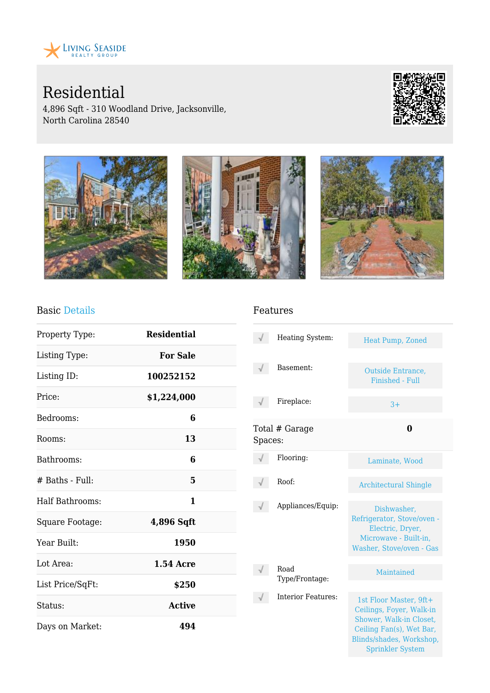

Residential

4,896 Sqft - 310 Woodland Drive, Jacksonville, North Carolina 28540





#### Basic Details

| Property Type:         | <b>Residential</b> |  |
|------------------------|--------------------|--|
| Listing Type:          | <b>For Sale</b>    |  |
| Listing ID:            | 100252152          |  |
| Price:                 | \$1,224,000        |  |
| Bedrooms:              | 6                  |  |
| Rooms:                 | 13                 |  |
| Bathrooms:             | 6                  |  |
| $#$ Baths - Full:      | 5                  |  |
| <b>Half Bathrooms:</b> | 1                  |  |
| Square Footage:        | 4,896 Sqft         |  |
| Year Built:            | 1950               |  |
| Lot Area:              | <b>1.54 Acre</b>   |  |
| List Price/SqFt:       | \$250              |  |
| Status:                | <b>Active</b>      |  |
| Days on Market:        | 494                |  |

#### Features

|         | Heating System:           | Heat Pump, Zoned                                                                                                                                                 |
|---------|---------------------------|------------------------------------------------------------------------------------------------------------------------------------------------------------------|
|         | Basement:                 | Outside Entrance,<br>Finished - Full                                                                                                                             |
|         | Fireplace:                | $3+$                                                                                                                                                             |
| Spaces: | Total # Garage            | 0                                                                                                                                                                |
|         | Flooring:                 | Laminate, Wood                                                                                                                                                   |
|         | Roof:                     | <b>Architectural Shingle</b>                                                                                                                                     |
|         | Appliances/Equip:         | Dishwasher.<br>Refrigerator, Stove/oven -<br>Electric, Dryer,<br>Microwave - Built-in,<br>Washer, Stove/oven - Gas                                               |
|         | Road<br>Type/Frontage:    | Maintained                                                                                                                                                       |
|         | <b>Interior Features:</b> | 1st Floor Master, 9ft+<br>Ceilings, Foyer, Walk-in<br>Shower, Walk-in Closet,<br>Ceiling Fan(s), Wet Bar,<br>Blinds/shades, Workshop,<br><b>Sprinkler System</b> |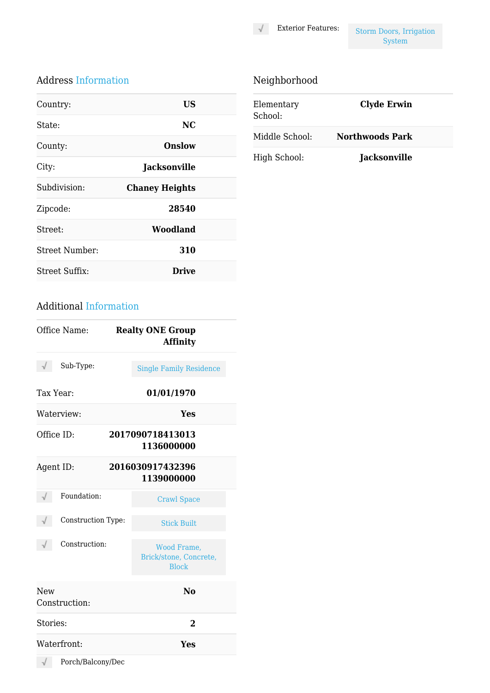Exterior Features: Storm Doors, Irrigation System

### Address Information

| Country:       | US                    |  |
|----------------|-----------------------|--|
| State:         | NC.                   |  |
| County:        | Onslow                |  |
| City:          | <b>Jacksonville</b>   |  |
| Subdivision:   | <b>Chaney Heights</b> |  |
| Zipcode:       | 28540                 |  |
| Street:        | Woodland              |  |
| Street Number: | 310                   |  |
| Street Suffix: | Drive                 |  |

# Neighborhood

| Elementary<br>School: | <b>Clyde Erwin</b>     |
|-----------------------|------------------------|
| Middle School:        | <b>Northwoods Park</b> |
| High School:          | <b>Jacksonville</b>    |

### Additional Information

| Sub-Type:<br><b>Single Family Residence</b><br>Tax Year:<br>01/01/1970<br>Waterview:<br>Yes<br>Office ID:<br>2017090718413013 |  |
|-------------------------------------------------------------------------------------------------------------------------------|--|
|                                                                                                                               |  |
|                                                                                                                               |  |
|                                                                                                                               |  |
| 1136000000                                                                                                                    |  |
| Agent ID:<br>2016030917432396<br>1139000000                                                                                   |  |
| Foundation:<br><b>Crawl Space</b>                                                                                             |  |
| Construction Type:<br><b>Stick Built</b>                                                                                      |  |
| Construction:<br>Wood Frame,<br>Brick/stone, Concrete,<br><b>Block</b>                                                        |  |
| $\bf No$<br><b>New</b><br>Construction:                                                                                       |  |
| Stories:<br>$\overline{2}$                                                                                                    |  |
| Waterfront:<br>Yes                                                                                                            |  |

 $\sqrt{}$  Porch/Balcony/Dec